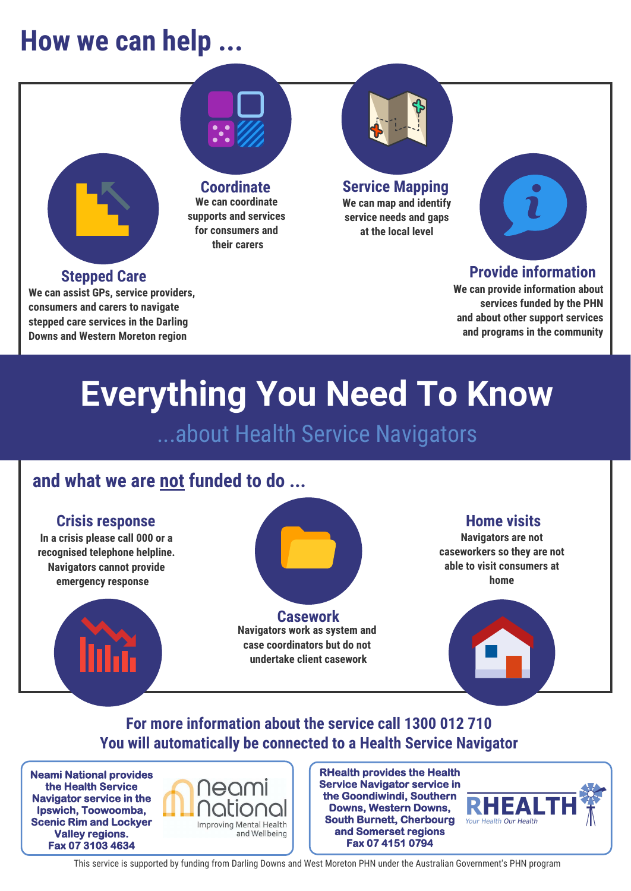# **How we can help ...**





**Provide information**

**We can provide information about services funded by the PHN and about other support services and programs in the community** 

# **Everything You Need To Know**

...about Health Service Navigators

### **and what we are not funded to do ...**



**Downs and Western Moreton region**

**In a crisis please call 000 or a recognised telephone helpline. Navigators cannot provide emergency response** 



**Casework Navigators work as system and case coordinators but do not undertake client casework**

### **Home visits**

**Navigators are not caseworkers so they are not able to visit consumers at home** 

## **For more information about the service call 1300 012 710 You will automatically be connected to a Health Service Navigator**

**Neami National provides the Health Service Navigator service in the Ipswich, Toowoomba, Scenic Rim and Lockyer Valley regions. Fax 07 3103 4634**



**RHealth provides the Health Service Navigator service in the Goondiwindi, Southern Downs, Western Downs, South Burnett, Cherbourg and Somerset regions Fax 07 4151 0794**



This service is supported by funding from Darling Downs and West Moreton PHN under the Australian Government's PHN program